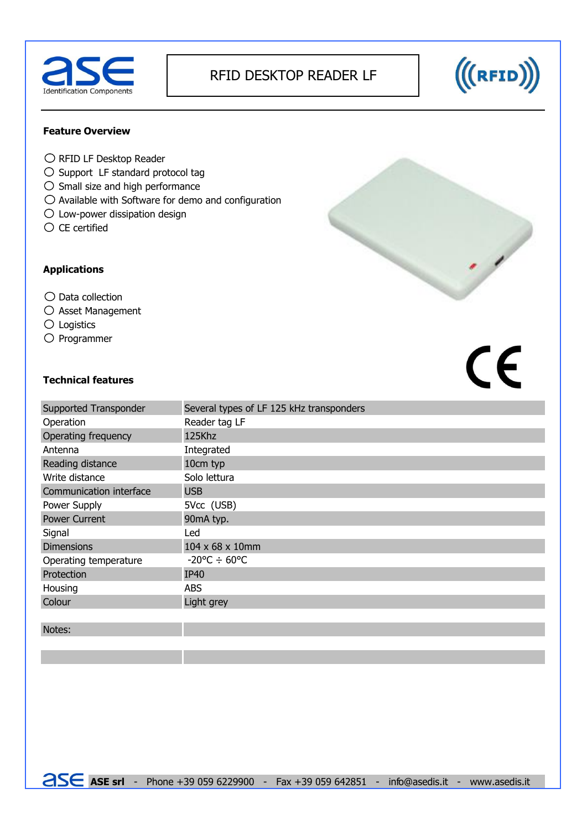

# RFID DESKTOP READER LF



### **Feature Overview**

- $\bigcirc$  RFID LF Desktop Reader
- $\bigcirc$  Support LF standard protocol tag
- $\bigcirc$  Small size and high performance
- $\bigcirc$  Available with Software for demo and configuration
- $\bigcirc$  Low-power dissipation design
- $\bigcirc$  CE certified

## **Applications**

## $\bigcirc$  Data collection

- $\bigcirc$  Asset Management
- Logistics
- $O$  Programmer

# CE

#### **Technical features**

| Supported Transponder   | Several types of LF 125 kHz transponders |  |  |
|-------------------------|------------------------------------------|--|--|
| Operation               | Reader tag LF                            |  |  |
| Operating frequency     | 125Khz                                   |  |  |
| Antenna                 | Integrated                               |  |  |
| Reading distance        | 10cm typ                                 |  |  |
| Write distance          | Solo lettura                             |  |  |
| Communication interface | <b>USB</b>                               |  |  |
| Power Supply            | 5Vcc (USB)                               |  |  |
| <b>Power Current</b>    | 90mA typ.                                |  |  |
| Signal                  | Led                                      |  |  |
| <b>Dimensions</b>       | 104 x 68 x 10mm                          |  |  |
| Operating temperature   | $-20^{\circ}$ C $\div$ 60°C              |  |  |
| Protection              | <b>IP40</b>                              |  |  |
| Housing                 | <b>ABS</b>                               |  |  |
| Colour                  | Light grey                               |  |  |
|                         |                                          |  |  |

Notes: